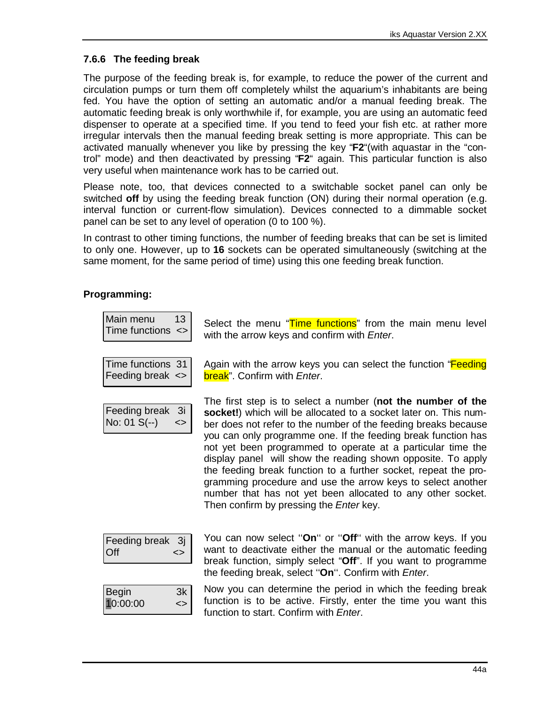## **7.6.6 The feeding break**

The purpose of the feeding break is, for example, to reduce the power of the current and circulation pumps or turn them off completely whilst the aquarium's inhabitants are being fed. You have the option of setting an automatic and/or a manual feeding break. The automatic feeding break is only worthwhile if, for example, you are using an automatic feed dispenser to operate at a specified time. If you tend to feed your fish etc. at rather more irregular intervals then the manual feeding break setting is more appropriate. This can be activated manually whenever you like by pressing the key "**F2**"(with aquastar in the "control" mode) and then deactivated by pressing "**F2**" again. This particular function is also very useful when maintenance work has to be carried out.

Please note, too, that devices connected to a switchable socket panel can only be switched **off** by using the feeding break function (ON) during their normal operation (e.g. interval function or current-flow simulation). Devices connected to a dimmable socket panel can be set to any level of operation (0 to 100 %).

In contrast to other timing functions, the number of feeding breaks that can be set is limited to only one. However, up to **16** sockets can be operated simultaneously (switching at the same moment, for the same period of time) using this one feeding break function.

## **Programming:**

| Main menu                   | 13 <sup>1</sup> |  |
|-----------------------------|-----------------|--|
| Time functions $\leftarrow$ |                 |  |

Time functions 31 Feeding break <>

Feeding break 3i No:  $01 S(-) \le$  Select the menu "Time functions" from the main menu level with the arrow keys and confirm with *Enter*.

Again with the arrow keys you can select the function "**Feeding** break". Confirm with *Enter*.

The first step is to select a number (**not the number of the socket!**) which will be allocated to a socket later on. This number does not refer to the number of the feeding breaks because you can only programme one. If the feeding break function has not yet been programmed to operate at a particular time the display panel will show the reading shown opposite. To apply the feeding break function to a further socket, repeat the programming procedure and use the arrow keys to select another number that has not yet been allocated to any other socket. Then confirm by pressing the *Enter* key.

| Feeding break 3j |  |
|------------------|--|
| <b>Off</b>       |  |

You can now select ''**On**'' or ''**Off**'' with the arrow keys. If you want to deactivate either the manual or the automatic feeding break function, simply select "**Off**". If you want to programme the feeding break, select ''**On**''. Confirm with *Enter*.

| Begin<br>10:00:00 | 3k |
|-------------------|----|
|                   |    |

Now you can determine the period in which the feeding break function is to be active. Firstly, enter the time you want this function to start. Confirm with *Enter*.